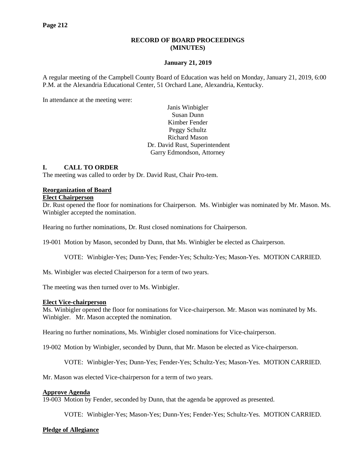### **RECORD OF BOARD PROCEEDINGS (MINUTES)**

#### **January 21, 2019**

A regular meeting of the Campbell County Board of Education was held on Monday, January 21, 2019, 6:00 P.M. at the Alexandria Educational Center, 51 Orchard Lane, Alexandria, Kentucky.

In attendance at the meeting were:

Janis Winbigler Susan Dunn Kimber Fender Peggy Schultz Richard Mason Dr. David Rust, Superintendent Garry Edmondson, Attorney

#### **I. CALL TO ORDER**

The meeting was called to order by Dr. David Rust, Chair Pro-tem.

#### **Reorganization of Board**

#### **Elect Chairperson**

Dr. Rust opened the floor for nominations for Chairperson. Ms. Winbigler was nominated by Mr. Mason. Ms. Winbigler accepted the nomination.

Hearing no further nominations, Dr. Rust closed nominations for Chairperson.

19-001 Motion by Mason, seconded by Dunn, that Ms. Winbigler be elected as Chairperson.

VOTE: Winbigler-Yes; Dunn-Yes; Fender-Yes; Schultz-Yes; Mason-Yes. MOTION CARRIED.

Ms. Winbigler was elected Chairperson for a term of two years.

The meeting was then turned over to Ms. Winbigler.

#### **Elect Vice-chairperson**

Ms. Winbigler opened the floor for nominations for Vice-chairperson. Mr. Mason was nominated by Ms. Winbigler. Mr. Mason accepted the nomination.

Hearing no further nominations, Ms. Winbigler closed nominations for Vice-chairperson.

19-002 Motion by Winbigler, seconded by Dunn, that Mr. Mason be elected as Vice-chairperson.

VOTE: Winbigler-Yes; Dunn-Yes; Fender-Yes; Schultz-Yes; Mason-Yes. MOTION CARRIED.

Mr. Mason was elected Vice-chairperson for a term of two years.

#### **Approve Agenda**

19-003 Motion by Fender, seconded by Dunn, that the agenda be approved as presented.

VOTE: Winbigler-Yes; Mason-Yes; Dunn-Yes; Fender-Yes; Schultz-Yes. MOTION CARRIED.

#### **Pledge of Allegiance**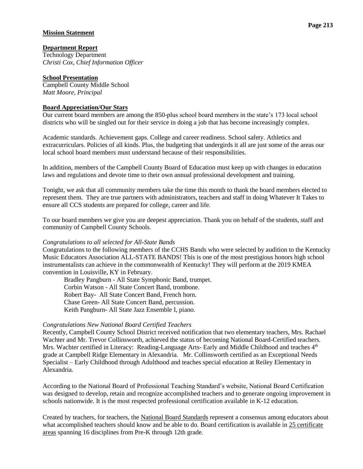### **Mission Statement**

# **Department Report**

Technology Department *Christi Cox, Chief Information Officer*

## **School Presentation**

Campbell County Middle School *Matt Moore, Principal*

### **Board Appreciation/Our Stars**

Our current board members are among the 850-plus school board members in the state's 173 local school districts who will be singled out for their service in doing a job that has become increasingly complex.

Academic standards. Achievement gaps. College and career readiness. School safety. Athletics and extracurriculars. Policies of all kinds. Plus, the budgeting that undergirds it all are just some of the areas our local school board members must understand because of their responsibilities.

In addition, members of the Campbell County Board of Education must keep up with changes in education laws and regulations and devote time to their own annual professional development and training.

Tonight, we ask that all community members take the time this month to thank the board members elected to represent them. They are true partners with administrators, teachers and staff in doing Whatever It Takes to ensure all CCS students are prepared for college, career and life.

To our board members we give you are deepest appreciation. Thank you on behalf of the students, staff and community of Campbell County Schools.

### *Congratulations to all selected for All-State Bands*

Congratulations to the following members of the CCHS Bands who were selected by audition to the Kentucky Music Educators Association ALL-STATE BANDS! This is one of the most prestigious honors high school instrumentalists can achieve in the commonwealth of Kentucky! They will perform at the 2019 KMEA convention in Louisville, KY in February.

Bradley Pangburn - All State Symphonic Band, trumpet. Corbin Watson - All State Concert Band, trombone. Robert Bay- All State Concert Band, French horn. Chase Green- All State Concert Band, percussion. Keith Pangburn- All State Jazz Ensemble I, piano.

#### *Congratulations New National Board Certified Teachers*

Recently, Campbell County School District received notification that two elementary teachers, Mrs. Rachael Wachter and Mr. Trevor Collinsworth, achieved the status of becoming National Board-Certified teachers. Mrs. Wachter certified in Literacy: Reading-Language Arts- Early and Middle Childhood and teaches 4<sup>th</sup> grade at Campbell Ridge Elementary in Alexandria. Mr. Collinsworth certified as an Exceptional Needs Specialist – Early Childhood through Adulthood and teaches special education at Reiley Elementary in Alexandria.

According to the National Board of Professional Teaching Standard's website, National Board Certification was designed to develop, retain and recognize accomplished teachers and to generate ongoing improvement in schools nationwide. It is the most respected professional certification available in K-12 education.

Created by teachers, for teachers, the National Board [Standards](https://www.nbpts.org/vision-and-impact/standards-five-core-propositions/) represent a consensus among educators about what accomplished teachers should know and be able to do. Board certification is available in 25 [certificate](https://www.nbpts.org/national-board-certification/overview/candidate-center/first-time-and-returning-candidate-resources) [areas](https://www.nbpts.org/national-board-certification/overview/candidate-center/first-time-and-returning-candidate-resources) spanning 16 disciplines from Pre-K through 12th grade.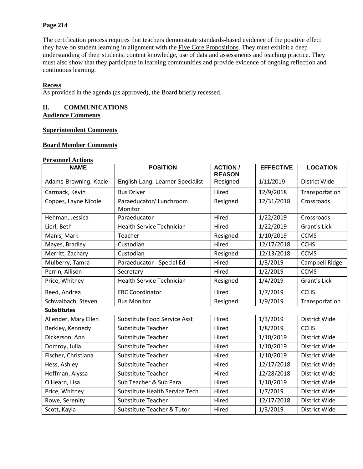## **Page 214**

The certification process requires that teachers demonstrate standards-based evidence of the positive effect they have on student learning in alignment with the Five Core [Propositions.](https://www.nbpts.org/vision-and-impact/standards-five-core-propositions/) They must exhibit a deep understanding of their students, content knowledge, use of data and assessments and teaching practice. They must also show that they participate in learning communities and provide evidence of ongoing reflection and continuous learning.

### **Recess**

As provided in the agenda (as approved), the Board briefly recessed.

### **II. COMMUNICATIONS Audience Comments**

### **Superintendent Comments**

## **Board Member Comments**

#### **Personnel Actions**

| <b>NAME</b>                                 | <b>POSITION</b>                    | <b>ACTION /</b><br><b>REASON</b> | <b>EFFECTIVE</b> | <b>LOCATION</b>      |
|---------------------------------------------|------------------------------------|----------------------------------|------------------|----------------------|
| Adams-Browning, Kacie                       | English Lang. Learner Specialist   | Resigned                         | 1/11/2019        | <b>District Wide</b> |
| Carmack, Kevin                              | <b>Bus Driver</b>                  | Hired                            | 12/9/2018        | Transportation       |
| Coppes, Layne Nicole                        | Paraeducator/ Lunchroom<br>Monitor | Resigned                         | 12/31/2018       | Crossroads           |
| Hehman, Jessica                             | Paraeducator                       | Hired                            | 1/22/2019        | Crossroads           |
| Lierl, Beth                                 | <b>Health Service Technician</b>   | Hired                            | 1/22/2019        | <b>Grant's Lick</b>  |
| Manis, Mark                                 | Teacher                            | Resigned                         | 1/10/2019        | <b>CCMS</b>          |
| Mayes, Bradley                              | Custodian                          | Hired                            | 12/17/2018       | <b>CCHS</b>          |
| Merritt, Zachary                            | Custodian                          | Resigned                         | 12/13/2018       | <b>CCMS</b>          |
| Mulberry, Tamra                             | Paraeducator - Special Ed          | Hired                            | 1/3/2019         | Campbell Ridge       |
| Perrin, Allison                             | Secretary                          | Hired                            | 1/2/2019         | <b>CCMS</b>          |
| Price, Whitney                              | <b>Health Service Technician</b>   | Resigned                         | 1/4/2019         | <b>Grant's Lick</b>  |
| Reed, Andrea                                | <b>FRC Coordinator</b>             | Hired                            | 1/7/2019         | <b>CCHS</b>          |
| Schwalbach, Steven                          | <b>Bus Monitor</b>                 | Resigned                         | 1/9/2019         | Transportation       |
| <b>Substitutes</b>                          |                                    |                                  |                  |                      |
| Allender, Mary Ellen                        | Substitute Food Service Asst       | Hired                            | 1/3/2019         | District Wide        |
| Berkley, Kennedy                            | Substitute Teacher                 |                                  | 1/8/2019         | <b>CCHS</b>          |
| Dickerson, Ann<br><b>Substitute Teacher</b> |                                    | Hired                            | 1/10/2019        | <b>District Wide</b> |
| Domroy, Julia<br>Substitute Teacher         |                                    | Hired                            | 1/10/2019        | District Wide        |
| Fischer, Christiana                         | <b>Substitute Teacher</b>          | Hired                            | 1/10/2019        | District Wide        |
| Hess, Ashley                                | Substitute Teacher                 | Hired                            | 12/17/2018       | District Wide        |
| Hoffman, Alyssa                             | <b>Substitute Teacher</b>          | Hired                            | 12/28/2018       | District Wide        |
| O'Hearn, Lisa                               | Sub Teacher & Sub Para             | Hired                            | 1/10/2019        | District Wide        |
| Price, Whitney                              | Substitute Health Service Tech     | Hired                            | 1/7/2019         | District Wide        |
| Rowe, Serenity                              | <b>Substitute Teacher</b>          | Hired                            | 12/17/2018       | District Wide        |
| Scott, Kayla                                | Substitute Teacher & Tutor         | Hired                            | 1/3/2019         | District Wide        |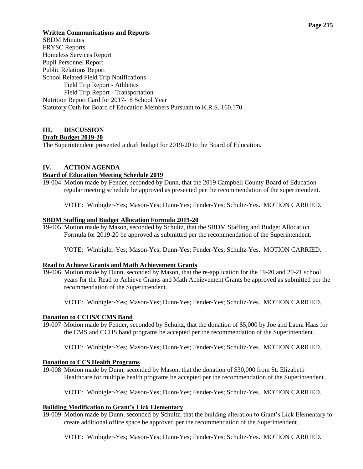# **Written Communications and Reports**

SBDM Minutes FRYSC Reports Homeless Services Report Pupil Personnel Report Public Relations Report School Related Field Trip Notifications Field Trip Report - Athletics Field Trip Report - Transportation Nutrition Report Card for 2017-18 School Year Statutory Oath for Board of Education Members Pursuant to K.R.S. 160.170

# **III. DISCUSSION**

## **Draft Budget 2019-20**

The Superintendent presented a draft budget for 2019-20 to the Board of Education.

## **IV. ACTION AGENDA**

### **Board of Education Meeting Schedule 2019**

19-004 Motion made by Fender, seconded by Dunn, that the 2019 Campbell County Board of Education regular meeting schedule be approved as presented per the recommendation of the superintendent.

VOTE: Winbigler-Yes; Mason-Yes; Dunn-Yes; Fender-Yes; Schultz-Yes. MOTION CARRIED.

### **SBDM Staffing and Budget Allocation Formula 2019-20**

19-005 Motion made by Mason, seconded by Schultz, that the SBDM Staffing and Budget Allocation Formula for 2019-20 be approved as submitted per the recommendation of the Superintendent.

VOTE: Winbigler-Yes; Mason-Yes; Dunn-Yes; Fender-Yes; Schultz-Yes. MOTION CARRIED.

### **Read to Achieve Grants and Math Achievement Grants**

19-006 Motion made by Dunn, seconded by Mason, that the re-application for the 19-20 and 20-21 school years for the Read to Achieve Grants and Math Achievement Grants be approved as submitted per the recommendation of the Superintendent.

VOTE: Winbigler-Yes; Mason-Yes; Dunn-Yes; Fender-Yes; Schultz-Yes. MOTION CARRIED.

### **Donation to CCHS/CCMS Band**

- 19-007 Motion made by Fender, seconded by Schultz, that the donation of \$5,000 by Joe and Laura Haas for the CMS and CCHS band programs be accepted per the recommendation of the Superintendent.
	- VOTE: Winbigler-Yes; Mason-Yes; Dunn-Yes; Fender-Yes; Schultz-Yes. MOTION CARRIED.

### **Donation to CCS Health Programs**

19-008 Motion made by Dunn, seconded by Mason, that the donation of \$30,000 from St. Elizabeth Healthcare for multiple health programs be accepted per the recommendation of the Superintendent.

VOTE: Winbigler-Yes; Mason-Yes; Dunn-Yes; Fender-Yes; Schultz-Yes. MOTION CARRIED.

## **Building Modification to Grant's Lick Elementary**

19-009 Motion made by Dunn, seconded by Schultz, that the building alteration to Grant's Lick Elementary to create additional office space be approved per the recommendation of the Superintendent.

VOTE: Winbigler-Yes; Mason-Yes; Dunn-Yes; Fender-Yes; Schultz-Yes. MOTION CARRIED.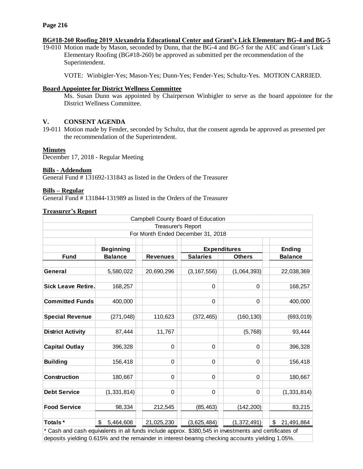#### **Page 216**

#### **BG#18-260 Roofing 2019 Alexandria Educational Center and Grant's Lick Elementary BG-4 and BG-5**

19-010 Motion made by Mason, seconded by Dunn, that the BG-4 and BG-5 for the AEC and Grant's Lick Elementary Roofing (BG#18-260) be approved as submitted per the recommendation of the Superintendent.

VOTE: Winbigler-Yes; Mason-Yes; Dunn-Yes; Fender-Yes; Schultz-Yes. MOTION CARRIED.

#### **Board Appointee for District Wellness Committee**

Ms. Susan Dunn was appointed by Chairperson Winbigler to serve as the board appointee for the District Wellness Committee.

### **V. CONSENT AGENDA**

19-011 Motion made by Fender, seconded by Schultz, that the consent agenda be approved as presented per the recommendation of the Superintendent.

#### **Minutes**

December 17, 2018 - Regular Meeting

#### **Bills - Addendum**

General Fund # 131692-131843 as listed in the Orders of the Treasurer

#### **Bills – Regular**

General Fund # 131844-131989 as listed in the Orders of the Treasurer

#### **Treasurer's Report**

|                           |                  |                    | Campbell County Board of Education |               |                  |
|---------------------------|------------------|--------------------|------------------------------------|---------------|------------------|
|                           |                  | Treasurer's Report |                                    |               |                  |
|                           |                  |                    | For Month Ended December 31, 2018  |               |                  |
|                           |                  |                    |                                    |               |                  |
|                           | <b>Beginning</b> |                    | <b>Expenditures</b>                |               | <b>Ending</b>    |
| <b>Fund</b>               | <b>Balance</b>   | <b>Revenues</b>    | <b>Salaries</b>                    | <b>Others</b> | <b>Balance</b>   |
|                           |                  |                    |                                    |               |                  |
| General                   | 5,580,022        | 20,690,296         | (3, 167, 556)                      | (1,064,393)   | 22,038,369       |
|                           |                  |                    |                                    |               |                  |
| <b>Sick Leave Retire.</b> | 168,257          |                    | 0                                  | 0             | 168,257          |
|                           |                  |                    |                                    |               |                  |
| <b>Committed Funds</b>    | 400,000          |                    | 0                                  | 0             | 400,000          |
|                           |                  |                    |                                    |               |                  |
| <b>Special Revenue</b>    | (271, 048)       | 110,623            | (372, 465)                         | (160, 130)    | (693, 019)       |
|                           |                  |                    |                                    |               |                  |
| <b>District Activity</b>  | 87,444           | 11,767             |                                    | (5,768)       | 93,444           |
|                           |                  |                    |                                    |               |                  |
| <b>Capital Outlay</b>     | 396,328          | 0                  | 0                                  | 0             | 396,328          |
|                           |                  |                    |                                    |               |                  |
| <b>Building</b>           | 156,418          | 0                  | 0                                  | 0             | 156,418          |
|                           |                  |                    |                                    |               |                  |
| Construction              | 180,667          | 0                  | 0                                  | 0             | 180,667          |
|                           |                  |                    | $\mathbf 0$                        | $\mathbf 0$   |                  |
| <b>Debt Service</b>       | (1, 331, 814)    | $\pmb{0}$          |                                    |               | (1, 331, 814)    |
| <b>Food Service</b>       | 98,334           | 212,545            | (85, 463)                          | (142, 200)    | 83,215           |
|                           |                  |                    |                                    |               |                  |
| Totals*                   | \$<br>5,464,608  | 21,025,230         | (3,625,484)                        | (1,372,491)   | \$<br>21,491,864 |
|                           |                  |                    |                                    |               |                  |

Cash and cash equivalents in all funds include approx. \$380,545 in investments and certificates of deposits yielding 0.615% and the remainder in interest-bearing checking accounts yielding 1.05%.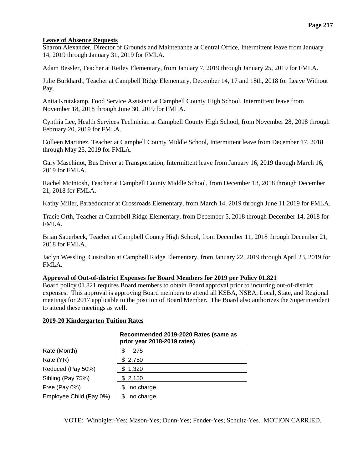## **Leave of Absence Requests**

Sharon Alexander, Director of Grounds and Maintenance at Central Office, Intermittent leave from January 14, 2019 through January 31, 2019 for FMLA.

Adam Bessler, Teacher at Reiley Elementary, from January 7, 2019 through January 25, 2019 for FMLA.

Julie Burkhardt, Teacher at Campbell Ridge Elementary, December 14, 17 and 18th, 2018 for Leave Without Pay.

Anita Krutzkamp, Food Service Assistant at Campbell County High School, Intermittent leave from November 18, 2018 through June 30, 2019 for FMLA.

Cynthia Lee, Health Services Technician at Campbell County High School, from November 28, 2018 through February 20, 2019 for FMLA.

Colleen Martinez, Teacher at Campbell County Middle School, Intermittent leave from December 17, 2018 through May 25, 2019 for FMLA.

Gary Maschinot, Bus Driver at Transportation, Intermittent leave from January 16, 2019 through March 16, 2019 for FMLA.

Rachel McIntosh, Teacher at Campbell County Middle School, from December 13, 2018 through December 21, 2018 for FMLA.

Kathy Miller, Paraeducator at Crossroads Elementary, from March 14, 2019 through June 11,2019 for FMLA.

Tracie Orth, Teacher at Campbell Ridge Elementary, from December 5, 2018 through December 14, 2018 for FMLA.

Brian Sauerbeck, Teacher at Campbell County High School, from December 11, 2018 through December 21, 2018 for FMLA.

Jaclyn Wessling, Custodian at Campbell Ridge Elementary, from January 22, 2019 through April 23, 2019 for FMLA.

## **Approval of Out-of-district Expenses for Board Members for 2019 per Policy 01.821**

Board policy 01.821 requires Board members to obtain Board approval prior to incurring out-of-district expenses. This approval is approving Board members to attend all KSBA, NSBA, Local, State, and Regional meetings for 2017 applicable to the position of Board Member. The Board also authorizes the Superintendent to attend these meetings as well.

### **2019-20 Kindergarten Tuition Rates**

|                         | prior year 2018-2019 rates) |
|-------------------------|-----------------------------|
| Rate (Month)            | 275                         |
| Rate (YR)               | \$2,750                     |
| Reduced (Pay 50%)       | \$1,320                     |
| Sibling (Pay 75%)       | \$2,150                     |
| Free (Pay 0%)           | no charge                   |
| Employee Child (Pay 0%) | no charge                   |

#### **Recommended 2019-2020 Rates (same as prior year 2018-2019 rates)**

VOTE: Winbigler-Yes; Mason-Yes; Dunn-Yes; Fender-Yes; Schultz-Yes. MOTION CARRIED.